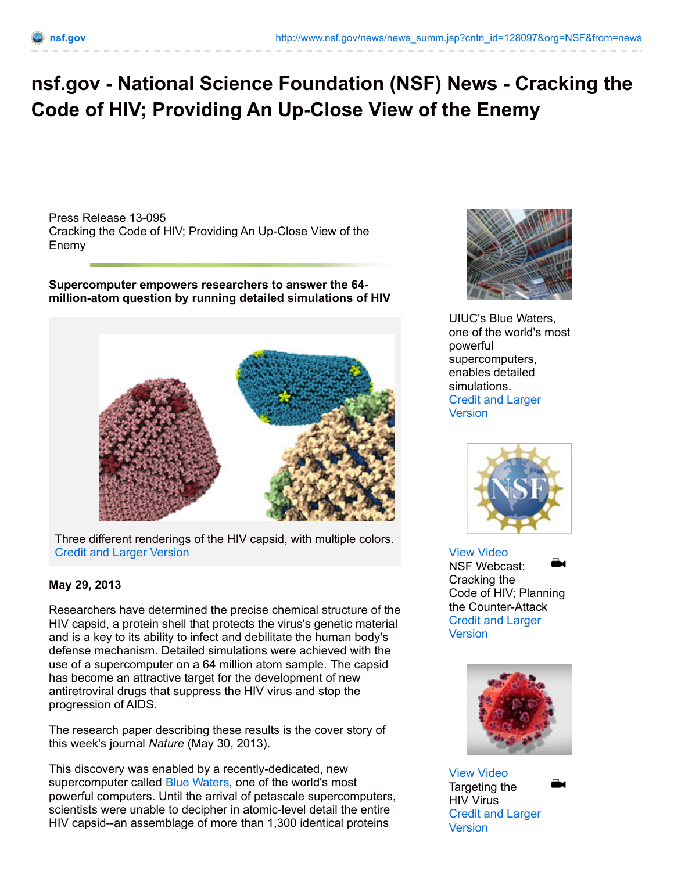## **nsf.gov - National Science Foundation (NSF) News - Cracking the Code of HIV; Providing An Up-Close View of the Enemy**

Press Release 13-095 Cracking the Code of HIV; Providing An Up-Close View of the Enemy

**Supercomputer empowers researchers to answer the 64 million-atom question by running detailed simulations of HIV**



Three different renderings of the HIV capsid, with multiple colors. Credit and Larger [Version](http://www.nsf.gov/news/news_images.jsp?cntn_id=128097&org=NSF)

## **May 29, 2013**

Researchers have determined the precise chemical structure of the HIV capsid, a protein shell that protects the virus's genetic material and is a key to its ability to infect and debilitate the human body's defense mechanism. Detailed simulations were achieved with the use of a supercomputer on a 64 million atom sample. The capsid has become an attractive target for the development of new antiretroviral drugs that suppress the HIV virus and stop the progression of AIDS.

The research paper describing these results is the cover story of this week's journal *Nature* (May 30, 2013).

This discovery was enabled by a recently-dedicated, new supercomputer called Blue [Waters](http://www.nsf.gov/news/news_summ.jsp?cntn_id=127193), one of the world's most powerful computers. Until the arrival of petascale supercomputers, scientists were unable to decipher in atomic-level detail the entire HIV capsid--an assemblage of more than 1,300 identical proteins



UIUC's Blue Waters, one of the world's most powerful supercomputers, enables detailed simulations. Credit and Larger **[Version](http://www.nsf.gov/news/news_images.jsp?cntn_id=128097&org=NSF)** 



View [Video](http://www.nsf.gov/news/news_videos.jsp?cntn_id=128097&media_id=74359&org=NSF) NSF Webcast: Cracking the Code of HIV; Planning the Counter-Attack Credit and Larger **[Version](http://www.nsf.gov/news/news_images.jsp?cntn_id=128097&org=NSF)** 



View [Video](http://www.nsf.gov/news/news_videos.jsp?cntn_id=128097&media_id=74360&org=NSF) Targeting the HIV Virus Credit and Larger [Version](http://www.nsf.gov/news/news_images.jsp?cntn_id=128097&org=NSF)